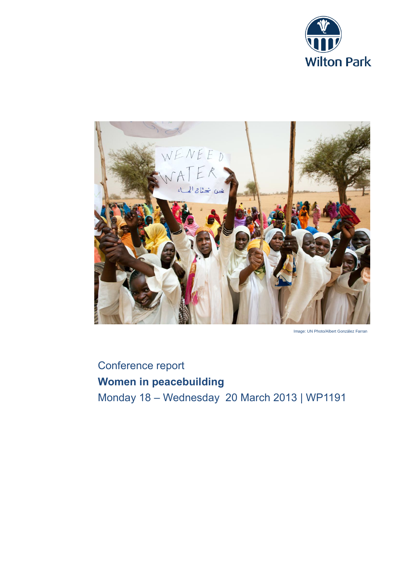



Image: UN Photo/Albert González Farran

# Conference report **Women in peacebuilding** Monday 18 – Wednesday 20 March 2013 | WP1191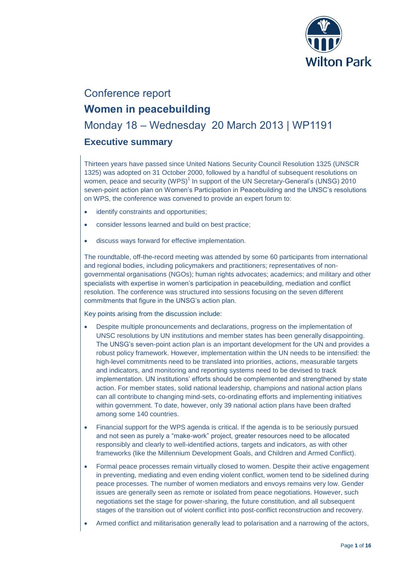

# Conference report

# **Women in peacebuilding**

# Monday 18 – Wednesday 20 March 2013 | WP1191

## **Executive summary**

Thirteen years have passed since United Nations Security Council Resolution 1325 (UNSCR 1325) was adopted on 31 October 2000, followed by a handful of subsequent resolutions on women, peace and security (WPS) $1$  In support of the UN Secretary-General's (UNSG) 2010 seven-point action plan on Women's Participation in Peacebuilding and the UNSC's resolutions on WPS, the conference was convened to provide an expert forum to:

- identify constraints and opportunities;
- consider lessons learned and build on best practice;
- discuss ways forward for effective implementation.

The roundtable, off-the-record meeting was attended by some 60 participants from international and regional bodies, including policymakers and practitioners; representatives of nongovernmental organisations (NGOs); human rights advocates; academics; and military and other specialists with expertise in women's participation in peacebuilding, mediation and conflict resolution. The conference was structured into sessions focusing on the seven different commitments that figure in the UNSG's action plan.

Key points arising from the discussion include:

- Despite multiple pronouncements and declarations, progress on the implementation of UNSC resolutions by UN institutions and member states has been generally disappointing. The UNSG's seven-point action plan is an important development for the UN and provides a robust policy framework. However, implementation within the UN needs to be intensified: the high-level commitments need to be translated into priorities, actions, measurable targets and indicators, and monitoring and reporting systems need to be devised to track implementation. UN institutions' efforts should be complemented and strengthened by state action. For member states, solid national leadership, champions and national action plans can all contribute to changing mind-sets, co-ordinating efforts and implementing initiatives within government. To date, however, only 39 national action plans have been drafted among some 140 countries.
- Financial support for the WPS agenda is critical. If the agenda is to be seriously pursued and not seen as purely a "make-work" project, greater resources need to be allocated responsibly and clearly to well-identified actions, targets and indicators, as with other frameworks (like the Millennium Development Goals, and Children and Armed Conflict).
- Formal peace processes remain virtually closed to women. Despite their active engagement in preventing, mediating and even ending violent conflict, women tend to be sidelined during peace processes. The number of women mediators and envoys remains very low. Gender issues are generally seen as remote or isolated from peace negotiations. However, such negotiations set the stage for power-sharing, the future constitution, and all subsequent stages of the transition out of violent conflict into post-conflict reconstruction and recovery.
- Armed conflict and militarisation generally lead to polarisation and a narrowing of the actors,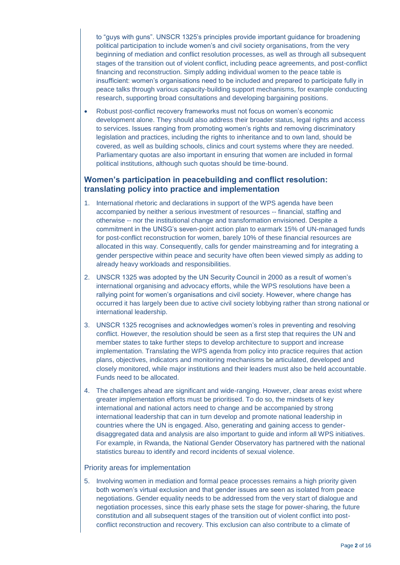to "guys with guns". UNSCR 1325's principles provide important guidance for broadening political participation to include women's and civil society organisations, from the very beginning of mediation and conflict resolution processes, as well as through all subsequent stages of the transition out of violent conflict, including peace agreements, and post-conflict financing and reconstruction. Simply adding individual women to the peace table is insufficient: women's organisations need to be included and prepared to participate fully in peace talks through various capacity-building support mechanisms, for example conducting research, supporting broad consultations and developing bargaining positions.

 Robust post-conflict recovery frameworks must not focus on women's economic development alone. They should also address their broader status, legal rights and access to services. Issues ranging from promoting women's rights and removing discriminatory legislation and practices, including the rights to inheritance and to own land, should be covered, as well as building schools, clinics and court systems where they are needed. Parliamentary quotas are also important in ensuring that women are included in formal political institutions, although such quotas should be time-bound.

### **Women's participation in peacebuilding and conflict resolution: translating policy into practice and implementation**

- 1. International rhetoric and declarations in support of the WPS agenda have been accompanied by neither a serious investment of resources -- financial, staffing and otherwise -- nor the institutional change and transformation envisioned. Despite a commitment in the UNSG's seven-point action plan to earmark 15% of UN-managed funds for post-conflict reconstruction for women, barely 10% of these financial resources are allocated in this way. Consequently, calls for gender mainstreaming and for integrating a gender perspective within peace and security have often been viewed simply as adding to already heavy workloads and responsibilities.
- 2. UNSCR 1325 was adopted by the UN Security Council in 2000 as a result of women's international organising and advocacy efforts, while the WPS resolutions have been a rallying point for women's organisations and civil society. However, where change has occurred it has largely been due to active civil society lobbying rather than strong national or international leadership.
- 3. UNSCR 1325 recognises and acknowledges women's roles in preventing and resolving conflict. However, the resolution should be seen as a first step that requires the UN and member states to take further steps to develop architecture to support and increase implementation. Translating the WPS agenda from policy into practice requires that action plans, objectives, indicators and monitoring mechanisms be articulated, developed and closely monitored, while major institutions and their leaders must also be held accountable. Funds need to be allocated.
- 4. The challenges ahead are significant and wide-ranging. However, clear areas exist where greater implementation efforts must be prioritised. To do so, the mindsets of key international and national actors need to change and be accompanied by strong international leadership that can in turn develop and promote national leadership in countries where the UN is engaged. Also, generating and gaining access to genderdisaggregated data and analysis are also important to guide and inform all WPS initiatives. For example, in Rwanda, the National Gender Observatory has partnered with the national statistics bureau to identify and record incidents of sexual violence.

#### Priority areas for implementation

5. Involving women in mediation and formal peace processes remains a high priority given both women's virtual exclusion and that gender issues are seen as isolated from peace negotiations. Gender equality needs to be addressed from the very start of dialogue and negotiation processes, since this early phase sets the stage for power-sharing, the future constitution and all subsequent stages of the transition out of violent conflict into postconflict reconstruction and recovery. This exclusion can also contribute to a climate of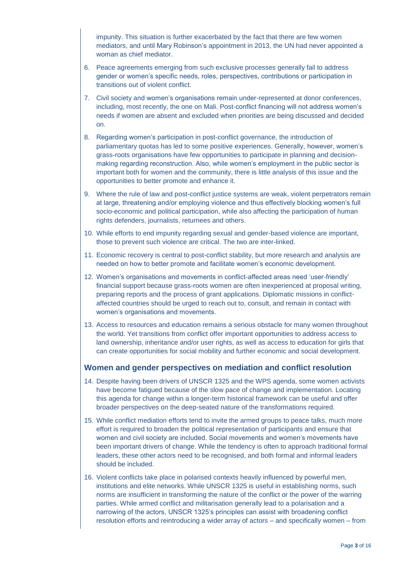impunity. This situation is further exacerbated by the fact that there are few women mediators, and until Mary Robinson's appointment in 2013, the UN had never appointed a woman as chief mediator.

- 6. Peace agreements emerging from such exclusive processes generally fail to address gender or women's specific needs, roles, perspectives, contributions or participation in transitions out of violent conflict.
- 7. Civil society and women's organisations remain under-represented at donor conferences, including, most recently, the one on Mali. Post-conflict financing will not address women's needs if women are absent and excluded when priorities are being discussed and decided on.
- 8. Regarding women's participation in post-conflict governance, the introduction of parliamentary quotas has led to some positive experiences. Generally, however, women's grass-roots organisations have few opportunities to participate in planning and decisionmaking regarding reconstruction. Also, while women's employment in the public sector is important both for women and the community, there is little analysis of this issue and the opportunities to better promote and enhance it.
- 9. Where the rule of law and post-conflict justice systems are weak, violent perpetrators remain at large, threatening and/or employing violence and thus effectively blocking women's full socio-economic and political participation, while also affecting the participation of human rights defenders, journalists, returnees and others.
- 10. While efforts to end impunity regarding sexual and gender-based violence are important, those to prevent such violence are critical. The two are inter-linked.
- 11. Economic recovery is central to post-conflict stability, but more research and analysis are needed on how to better promote and facilitate women's economic development.
- 12. Women's organisations and movements in conflict-affected areas need 'user-friendly' financial support because grass-roots women are often inexperienced at proposal writing, preparing reports and the process of grant applications. Diplomatic missions in conflictaffected countries should be urged to reach out to, consult, and remain in contact with women's organisations and movements.
- 13. Access to resources and education remains a serious obstacle for many women throughout the world. Yet transitions from conflict offer important opportunities to address access to land ownership, inheritance and/or user rights, as well as access to education for girls that can create opportunities for social mobility and further economic and social development.

#### **Women and gender perspectives on mediation and conflict resolution**

- 14. Despite having been drivers of UNSCR 1325 and the WPS agenda, some women activists have become fatigued because of the slow pace of change and implementation. Locating this agenda for change within a longer-term historical framework can be useful and offer broader perspectives on the deep-seated nature of the transformations required.
- 15. While conflict mediation efforts tend to invite the armed groups to peace talks, much more effort is required to broaden the political representation of participants and ensure that women and civil society are included. Social movements and women's movements have been important drivers of change. While the tendency is often to approach traditional formal leaders, these other actors need to be recognised, and both formal and informal leaders should be included.
- 16. Violent conflicts take place in polarised contexts heavily influenced by powerful men, institutions and elite networks. While UNSCR 1325 is useful in establishing norms, such norms are insufficient in transforming the nature of the conflict or the power of the warring parties. While armed conflict and militarisation generally lead to a polarisation and a narrowing of the actors, UNSCR 1325's principles can assist with broadening conflict resolution efforts and reintroducing a wider array of actors – and specifically women – from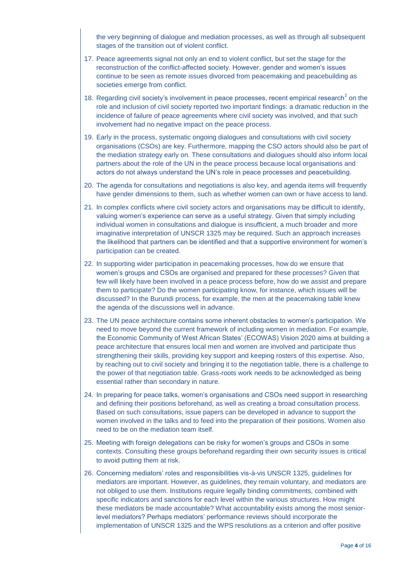the very beginning of dialogue and mediation processes, as well as through all subsequent stages of the transition out of violent conflict.

- 17. Peace agreements signal not only an end to violent conflict, but set the stage for the reconstruction of the conflict-affected society. However, gender and women's issues continue to be seen as remote issues divorced from peacemaking and peacebuilding as societies emerge from conflict.
- 18. Regarding civil society's involvement in peace processes, recent empirical research<sup>2</sup> on the role and inclusion of civil society reported two important findings: a dramatic reduction in the incidence of failure of peace agreements where civil society was involved, and that such involvement had no negative impact on the peace process.
- 19. Early in the process, systematic ongoing dialogues and consultations with civil society organisations (CSOs) are key. Furthermore, mapping the CSO actors should also be part of the mediation strategy early on. These consultations and dialogues should also inform local partners about the role of the UN in the peace process because local organisations and actors do not always understand the UN's role in peace processes and peacebuilding.
- 20. The agenda for consultations and negotiations is also key, and agenda items will frequently have gender dimensions to them, such as whether women can own or have access to land.
- 21. In complex conflicts where civil society actors and organisations may be difficult to identify, valuing women's experience can serve as a useful strategy. Given that simply including individual women in consultations and dialogue is insufficient, a much broader and more imaginative interpretation of UNSCR 1325 may be required. Such an approach increases the likelihood that partners can be identified and that a supportive environment for women's participation can be created.
- 22. In supporting wider participation in peacemaking processes, how do we ensure that women's groups and CSOs are organised and prepared for these processes? Given that few will likely have been involved in a peace process before, how do we assist and prepare them to participate? Do the women participating know, for instance, which issues will be discussed? In the Burundi process, for example, the men at the peacemaking table knew the agenda of the discussions well in advance.
- 23. The UN peace architecture contains some inherent obstacles to women's participation. We need to move beyond the current framework of including women in mediation. For example, the Economic Community of West African States' (ECOWAS) Vision 2020 aims at building a peace architecture that ensures local men and women are involved and participate thus strengthening their skills, providing key support and keeping rosters of this expertise. Also, by reaching out to civil society and bringing it to the negotiation table, there is a challenge to the power of that negotiation table. Grass-roots work needs to be acknowledged as being essential rather than secondary in nature.
- 24. In preparing for peace talks, women's organisations and CSOs need support in researching and defining their positions beforehand, as well as creating a broad consultation process. Based on such consultations, issue papers can be developed in advance to support the women involved in the talks and to feed into the preparation of their positions. Women also need to be on the mediation team itself.
- 25. Meeting with foreign delegations can be risky for women's groups and CSOs in some contexts. Consulting these groups beforehand regarding their own security issues is critical to avoid putting them at risk.
- 26. Concerning mediators' roles and responsibilities vis-à-vis UNSCR 1325, guidelines for mediators are important. However, as guidelines, they remain voluntary, and mediators are not obliged to use them. Institutions require legally binding commitments, combined with specific indicators and sanctions for each level within the various structures. How might these mediators be made accountable? What accountability exists among the most seniorlevel mediators? Perhaps mediators' performance reviews should incorporate the implementation of UNSCR 1325 and the WPS resolutions as a criterion and offer positive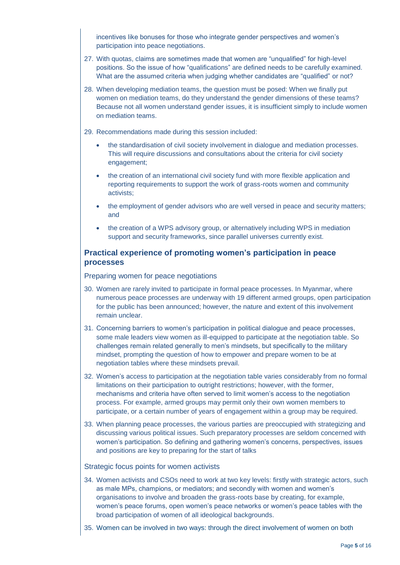incentives like bonuses for those who integrate gender perspectives and women's participation into peace negotiations.

- 27. With quotas, claims are sometimes made that women are "unqualified" for high-level positions. So the issue of how "qualifications" are defined needs to be carefully examined. What are the assumed criteria when judging whether candidates are "qualified" or not?
- 28. When developing mediation teams, the question must be posed: When we finally put women on mediation teams, do they understand the gender dimensions of these teams? Because not all women understand gender issues, it is insufficient simply to include women on mediation teams.
- 29. Recommendations made during this session included:
	- the standardisation of civil society involvement in dialogue and mediation processes. This will require discussions and consultations about the criteria for civil society engagement;
	- the creation of an international civil society fund with more flexible application and reporting requirements to support the work of grass-roots women and community activists;
	- the employment of gender advisors who are well versed in peace and security matters; and
	- the creation of a WPS advisory group, or alternatively including WPS in mediation support and security frameworks, since parallel universes currently exist.

### **Practical experience of promoting women's participation in peace processes**

Preparing women for peace negotiations

- 30. Women are rarely invited to participate in formal peace processes. In Myanmar, where numerous peace processes are underway with 19 different armed groups, open participation for the public has been announced; however, the nature and extent of this involvement remain unclear.
- 31. Concerning barriers to women's participation in political dialogue and peace processes, some male leaders view women as ill-equipped to participate at the negotiation table. So challenges remain related generally to men's mindsets, but specifically to the military mindset, prompting the question of how to empower and prepare women to be at negotiation tables where these mindsets prevail.
- 32. Women's access to participation at the negotiation table varies considerably from no formal limitations on their participation to outright restrictions; however, with the former, mechanisms and criteria have often served to limit women's access to the negotiation process. For example, armed groups may permit only their own women members to participate, or a certain number of years of engagement within a group may be required.
- 33. When planning peace processes, the various parties are preoccupied with strategizing and discussing various political issues. Such preparatory processes are seldom concerned with women's participation. So defining and gathering women's concerns, perspectives, issues and positions are key to preparing for the start of talks

#### Strategic focus points for women activists

- 34. Women activists and CSOs need to work at two key levels: firstly with strategic actors, such as male MPs, champions, or mediators; and secondly with women and women's organisations to involve and broaden the grass-roots base by creating, for example, women's peace forums, open women's peace networks or women's peace tables with the broad participation of women of all ideological backgrounds.
- 35. Women can be involved in two ways: through the direct involvement of women on both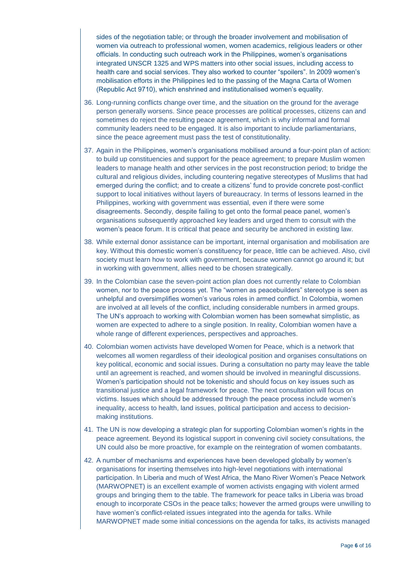sides of the negotiation table; or through the broader involvement and mobilisation of women via outreach to professional women, women academics, religious leaders or other officials. In conducting such outreach work in the Philippines, women's organisations integrated UNSCR 1325 and WPS matters into other social issues, including access to health care and social services. They also worked to counter "spoilers". In 2009 women's mobilisation efforts in the Philippines led to the passing of the Magna Carta of Women (Republic Act 9710), which enshrined and institutionalised women's equality.

- 36. Long-running conflicts change over time, and the situation on the ground for the average person generally worsens. Since peace processes are political processes, citizens can and sometimes do reject the resulting peace agreement, which is why informal and formal community leaders need to be engaged. It is also important to include parliamentarians, since the peace agreement must pass the test of constitutionality.
- 37. Again in the Philippines, women's organisations mobilised around a four-point plan of action: to build up constituencies and support for the peace agreement; to prepare Muslim women leaders to manage health and other services in the post reconstruction period; to bridge the cultural and religious divides, including countering negative stereotypes of Muslims that had emerged during the conflict; and to create a citizens' fund to provide concrete post-conflict support to local initiatives without layers of bureaucracy. In terms of lessons learned in the Philippines, working with government was essential, even if there were some disagreements. Secondly, despite failing to get onto the formal peace panel, women's organisations subsequently approached key leaders and urged them to consult with the women's peace forum. It is critical that peace and security be anchored in existing law.
- 38. While external donor assistance can be important, internal organisation and mobilisation are key. Without this domestic women's constituency for peace, little can be achieved. Also, civil society must learn how to work with government, because women cannot go around it; but in working with government, allies need to be chosen strategically.
- 39. In the Colombian case the seven-point action plan does not currently relate to Colombian women, nor to the peace process yet. The "women as peacebuilders" stereotype is seen as unhelpful and oversimplifies women's various roles in armed conflict. In Colombia, women are involved at all levels of the conflict, including considerable numbers in armed groups. The UN's approach to working with Colombian women has been somewhat simplistic, as women are expected to adhere to a single position. In reality, Colombian women have a whole range of different experiences, perspectives and approaches.
- 40. Colombian women activists have developed Women for Peace, which is a network that welcomes all women regardless of their ideological position and organises consultations on key political, economic and social issues. During a consultation no party may leave the table until an agreement is reached, and women should be involved in meaningful discussions. Women's participation should not be tokenistic and should focus on key issues such as transitional justice and a legal framework for peace. The next consultation will focus on victims. Issues which should be addressed through the peace process include women's inequality, access to health, land issues, political participation and access to decisionmaking institutions.
- 41. The UN is now developing a strategic plan for supporting Colombian women's rights in the peace agreement. Beyond its logistical support in convening civil society consultations, the UN could also be more proactive, for example on the reintegration of women combatants.
- 42. A number of mechanisms and experiences have been developed globally by women's organisations for inserting themselves into high-level negotiations with international participation. In Liberia and much of West Africa, the Mano River Women's Peace Network (MARWOPNET) is an excellent example of women activists engaging with violent armed groups and bringing them to the table. The framework for peace talks in Liberia was broad enough to incorporate CSOs in the peace talks; however the armed groups were unwilling to have women's conflict-related issues integrated into the agenda for talks. While MARWOPNET made some initial concessions on the agenda for talks, its activists managed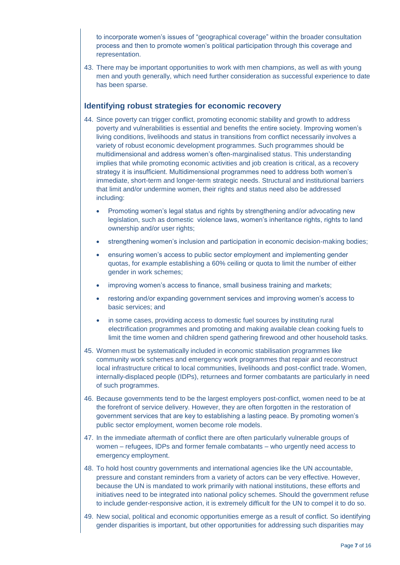to incorporate women's issues of "geographical coverage" within the broader consultation process and then to promote women's political participation through this coverage and representation.

43. There may be important opportunities to work with men champions, as well as with young men and youth generally, which need further consideration as successful experience to date has been sparse.

#### **Identifying robust strategies for economic recovery**

- 44. Since poverty can trigger conflict, promoting economic stability and growth to address poverty and vulnerabilities is essential and benefits the entire society. Improving women's living conditions, livelihoods and status in transitions from conflict necessarily involves a variety of robust economic development programmes. Such programmes should be multidimensional and address women's often-marginalised status. This understanding implies that while promoting economic activities and job creation is critical, as a recovery strategy it is insufficient. Multidimensional programmes need to address both women's immediate, short-term and longer-term strategic needs. Structural and institutional barriers that limit and/or undermine women, their rights and status need also be addressed including:
	- Promoting women's legal status and rights by strengthening and/or advocating new legislation, such as domestic violence laws, women's inheritance rights, rights to land ownership and/or user rights;
	- strengthening women's inclusion and participation in economic decision-making bodies;
	- ensuring women's access to public sector employment and implementing gender quotas, for example establishing a 60% ceiling or quota to limit the number of either gender in work schemes;
	- improving women's access to finance, small business training and markets;
	- restoring and/or expanding government services and improving women's access to basic services; and
	- in some cases, providing access to domestic fuel sources by instituting rural electrification programmes and promoting and making available clean cooking fuels to limit the time women and children spend gathering firewood and other household tasks.
- 45. Women must be systematically included in economic stabilisation programmes like community work schemes and emergency work programmes that repair and reconstruct local infrastructure critical to local communities, livelihoods and post-conflict trade. Women, internally-displaced people (IDPs), returnees and former combatants are particularly in need of such programmes.
- 46. Because governments tend to be the largest employers post-conflict, women need to be at the forefront of service delivery. However, they are often forgotten in the restoration of government services that are key to establishing a lasting peace. By promoting women's public sector employment, women become role models.
- 47. In the immediate aftermath of conflict there are often particularly vulnerable groups of women – refugees, IDPs and former female combatants – who urgently need access to emergency employment.
- 48. To hold host country governments and international agencies like the UN accountable, pressure and constant reminders from a variety of actors can be very effective. However, because the UN is mandated to work primarily with national institutions, these efforts and initiatives need to be integrated into national policy schemes. Should the government refuse to include gender-responsive action, it is extremely difficult for the UN to compel it to do so.
- 49. New social, political and economic opportunities emerge as a result of conflict. So identifying gender disparities is important, but other opportunities for addressing such disparities may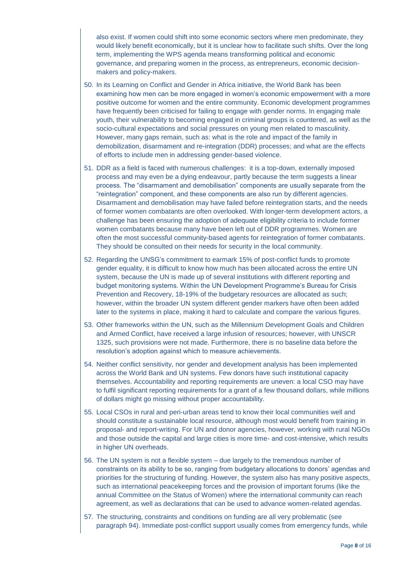also exist. If women could shift into some economic sectors where men predominate, they would likely benefit economically, but it is unclear how to facilitate such shifts. Over the long term, implementing the WPS agenda means transforming political and economic governance, and preparing women in the process, as entrepreneurs, economic decisionmakers and policy-makers.

- 50. In its Learning on Conflict and Gender in Africa initiative, the World Bank has been examining how men can be more engaged in women's economic empowerment with a more positive outcome for women and the entire community. Economic development programmes have frequently been criticised for failing to engage with gender norms. In engaging male youth, their vulnerability to becoming engaged in criminal groups is countered, as well as the socio-cultural expectations and social pressures on young men related to masculinity. However, many gaps remain, such as: what is the role and impact of the family in demobilization, disarmament and re-integration (DDR) processes; and what are the effects of efforts to include men in addressing gender-based violence.
- 51. DDR as a field is faced with numerous challenges: it is a top-down, externally imposed process and may even be a dying endeavour, partly because the term suggests a linear process. The "disarmament and demobilisation" components are usually separate from the "reintegration" component, and these components are also run by different agencies. Disarmament and demobilisation may have failed before reintegration starts, and the needs of former women combatants are often overlooked. With longer-term development actors, a challenge has been ensuring the adoption of adequate eligibility criteria to include former women combatants because many have been left out of DDR programmes. Women are often the most successful community-based agents for reintegration of former combatants. They should be consulted on their needs for security in the local community.
- 52. Regarding the UNSG's commitment to earmark 15% of post-conflict funds to promote gender equality, it is difficult to know how much has been allocated across the entire UN system, because the UN is made up of several institutions with different reporting and budget monitoring systems. Within the UN Development Programme's Bureau for Crisis Prevention and Recovery, 18-19% of the budgetary resources are allocated as such; however, within the broader UN system different gender markers have often been added later to the systems in place, making it hard to calculate and compare the various figures.
- 53. Other frameworks within the UN, such as the Millennium Development Goals and Children and Armed Conflict, have received a large infusion of resources; however, with UNSCR 1325, such provisions were not made. Furthermore, there is no baseline data before the resolution's adoption against which to measure achievements.
- 54. Neither conflict sensitivity, nor gender and development analysis has been implemented across the World Bank and UN systems. Few donors have such institutional capacity themselves. Accountability and reporting requirements are uneven: a local CSO may have to fulfil significant reporting requirements for a grant of a few thousand dollars, while millions of dollars might go missing without proper accountability.
- 55. Local CSOs in rural and peri-urban areas tend to know their local communities well and should constitute a sustainable local resource, although most would benefit from training in proposal- and report-writing. For UN and donor agencies, however, working with rural NGOs and those outside the capital and large cities is more time- and cost-intensive, which results in higher UN overheads.
- 56. The UN system is not a flexible system due largely to the tremendous number of constraints on its ability to be so, ranging from budgetary allocations to donors' agendas and priorities for the structuring of funding. However, the system also has many positive aspects, such as international peacekeeping forces and the provision of important forums (like the annual Committee on the Status of Women) where the international community can reach agreement, as well as declarations that can be used to advance women-related agendas.
- 57. The structuring, constraints and conditions on funding are all very problematic (see paragraph 94). Immediate post-conflict support usually comes from emergency funds, while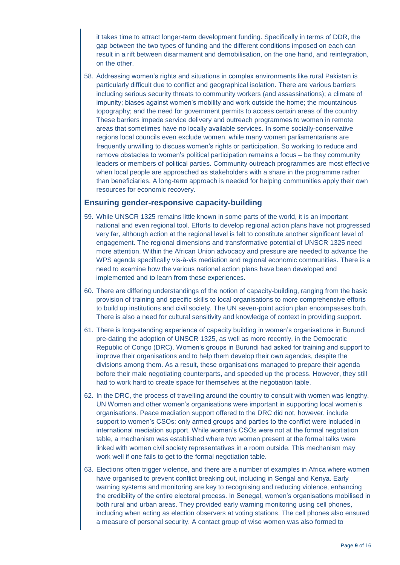it takes time to attract longer-term development funding. Specifically in terms of DDR, the gap between the two types of funding and the different conditions imposed on each can result in a rift between disarmament and demobilisation, on the one hand, and reintegration, on the other.

58. Addressing women's rights and situations in complex environments like rural Pakistan is particularly difficult due to conflict and geographical isolation. There are various barriers including serious security threats to community workers (and assassinations); a climate of impunity; biases against women's mobility and work outside the home; the mountainous topography; and the need for government permits to access certain areas of the country. These barriers impede service delivery and outreach programmes to women in remote areas that sometimes have no locally available services. In some socially-conservative regions local councils even exclude women, while many women parliamentarians are frequently unwilling to discuss women's rights or participation. So working to reduce and remove obstacles to women's political participation remains a focus – be they community leaders or members of political parties. Community outreach programmes are most effective when local people are approached as stakeholders with a share in the programme rather than beneficiaries. A long-term approach is needed for helping communities apply their own resources for economic recovery.

#### **Ensuring gender-responsive capacity-building**

- 59. While UNSCR 1325 remains little known in some parts of the world, it is an important national and even regional tool. Efforts to develop regional action plans have not progressed very far, although action at the regional level is felt to constitute another significant level of engagement. The regional dimensions and transformative potential of UNSCR 1325 need more attention. Within the African Union advocacy and pressure are needed to advance the WPS agenda specifically vis-à-vis mediation and regional economic communities. There is a need to examine how the various national action plans have been developed and implemented and to learn from these experiences.
- 60. There are differing understandings of the notion of capacity-building, ranging from the basic provision of training and specific skills to local organisations to more comprehensive efforts to build up institutions and civil society. The UN seven-point action plan encompasses both. There is also a need for cultural sensitivity and knowledge of context in providing support.
- 61. There is long-standing experience of capacity building in women's organisations in Burundi pre-dating the adoption of UNSCR 1325, as well as more recently, in the Democratic Republic of Congo (DRC). Women's groups in Burundi had asked for training and support to improve their organisations and to help them develop their own agendas, despite the divisions among them. As a result, these organisations managed to prepare their agenda before their male negotiating counterparts, and speeded up the process. However, they still had to work hard to create space for themselves at the negotiation table.
- 62. In the DRC, the process of travelling around the country to consult with women was lengthy. UN Women and other women's organisations were important in supporting local women's organisations. Peace mediation support offered to the DRC did not, however, include support to women's CSOs: only armed groups and parties to the conflict were included in international mediation support. While women's CSOs were not at the formal negotiation table, a mechanism was established where two women present at the formal talks were linked with women civil society representatives in a room outside. This mechanism may work well if one fails to get to the formal negotiation table.
- 63. Elections often trigger violence, and there are a number of examples in Africa where women have organised to prevent conflict breaking out, including in Sengal and Kenya. Early warning systems and monitoring are key to recognising and reducing violence, enhancing the credibility of the entire electoral process. In Senegal, women's organisations mobilised in both rural and urban areas. They provided early warning monitoring using cell phones, including when acting as election observers at voting stations. The cell phones also ensured a measure of personal security. A contact group of wise women was also formed to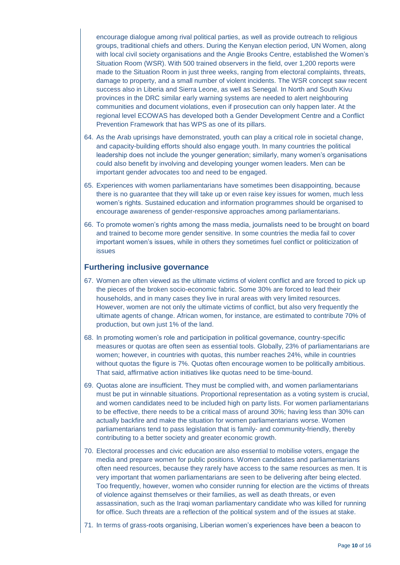encourage dialogue among rival political parties, as well as provide outreach to religious groups, traditional chiefs and others. During the Kenyan election period, UN Women, along with local civil society organisations and the Angie Brooks Centre, established the Women's Situation Room (WSR). With 500 trained observers in the field, over 1,200 reports were made to the Situation Room in just three weeks, ranging from electoral complaints, threats, damage to property, and a small number of violent incidents. The WSR concept saw recent success also in Liberia and Sierra Leone, as well as Senegal. In North and South Kivu provinces in the DRC similar early warning systems are needed to alert neighbouring communities and document violations, even if prosecution can only happen later. At the regional level ECOWAS has developed both a Gender Development Centre and a Conflict Prevention Framework that has WPS as one of its pillars.

- 64. As the Arab uprisings have demonstrated, youth can play a critical role in societal change, and capacity-building efforts should also engage youth. In many countries the political leadership does not include the younger generation; similarly, many women's organisations could also benefit by involving and developing younger women leaders. Men can be important gender advocates too and need to be engaged.
- 65. Experiences with women parliamentarians have sometimes been disappointing, because there is no guarantee that they will take up or even raise key issues for women, much less women's rights. Sustained education and information programmes should be organised to encourage awareness of gender-responsive approaches among parliamentarians.
- 66. To promote women's rights among the mass media, journalists need to be brought on board and trained to become more gender sensitive. In some countries the media fail to cover important women's issues, while in others they sometimes fuel conflict or politicization of issues

#### **Furthering inclusive governance**

- 67. Women are often viewed as the ultimate victims of violent conflict and are forced to pick up the pieces of the broken socio-economic fabric. Some 30% are forced to lead their households, and in many cases they live in rural areas with very limited resources. However, women are not only the ultimate victims of conflict, but also very frequently the ultimate agents of change. African women, for instance, are estimated to contribute 70% of production, but own just 1% of the land.
- 68. In promoting women's role and participation in political governance, country-specific measures or quotas are often seen as essential tools. Globally, 23% of parliamentarians are women; however, in countries with quotas, this number reaches 24%, while in countries without quotas the figure is 7%. Quotas often encourage women to be politically ambitious. That said, affirmative action initiatives like quotas need to be time-bound.
- 69. Quotas alone are insufficient. They must be complied with, and women parliamentarians must be put in winnable situations. Proportional representation as a voting system is crucial, and women candidates need to be included high on party lists. For women parliamentarians to be effective, there needs to be a critical mass of around 30%; having less than 30% can actually backfire and make the situation for women parliamentarians worse. Women parliamentarians tend to pass legislation that is family- and community-friendly, thereby contributing to a better society and greater economic growth.
- 70. Electoral processes and civic education are also essential to mobilise voters, engage the media and prepare women for public positions. Women candidates and parliamentarians often need resources, because they rarely have access to the same resources as men. It is very important that women parliamentarians are seen to be delivering after being elected. Too frequently, however, women who consider running for election are the victims of threats of violence against themselves or their families, as well as death threats, or even assassination, such as the Iraqi woman parliamentary candidate who was killed for running for office. Such threats are a reflection of the political system and of the issues at stake.
- 71. In terms of grass-roots organising, Liberian women's experiences have been a beacon to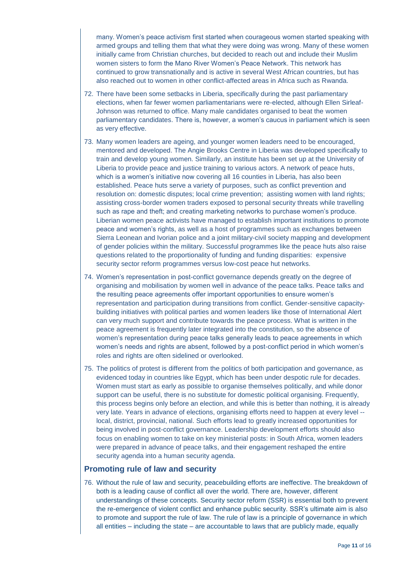many. Women's peace activism first started when courageous women started speaking with armed groups and telling them that what they were doing was wrong. Many of these women initially came from Christian churches, but decided to reach out and include their Muslim women sisters to form the Mano River Women's Peace Network. This network has continued to grow transnationally and is active in several West African countries, but has also reached out to women in other conflict-affected areas in Africa such as Rwanda.

- 72. There have been some setbacks in Liberia, specifically during the past parliamentary elections, when far fewer women parliamentarians were re-elected, although Ellen Sirleaf-Johnson was returned to office. Many male candidates organised to beat the women parliamentary candidates. There is, however, a women's caucus in parliament which is seen as very effective.
- 73. Many women leaders are ageing, and younger women leaders need to be encouraged, mentored and developed. The Angie Brooks Centre in Liberia was developed specifically to train and develop young women. Similarly, an institute has been set up at the University of Liberia to provide peace and justice training to various actors. A network of peace huts, which is a women's initiative now covering all 16 counties in Liberia, has also been established. Peace huts serve a variety of purposes, such as conflict prevention and resolution on: domestic disputes; local crime prevention; assisting women with land rights; assisting cross-border women traders exposed to personal security threats while travelling such as rape and theft; and creating marketing networks to purchase women's produce. Liberian women peace activists have managed to establish important institutions to promote peace and women's rights, as well as a host of programmes such as exchanges between Sierra Leonean and Ivorian police and a joint military-civil society mapping and development of gender policies within the military. Successful programmes like the peace huts also raise questions related to the proportionality of funding and funding disparities: expensive security sector reform programmes versus low-cost peace hut networks.
- 74. Women's representation in post-conflict governance depends greatly on the degree of organising and mobilisation by women well in advance of the peace talks. Peace talks and the resulting peace agreements offer important opportunities to ensure women's representation and participation during transitions from conflict. Gender-sensitive capacitybuilding initiatives with political parties and women leaders like those of International Alert can very much support and contribute towards the peace process. What is written in the peace agreement is frequently later integrated into the constitution, so the absence of women's representation during peace talks generally leads to peace agreements in which women's needs and rights are absent, followed by a post-conflict period in which women's roles and rights are often sidelined or overlooked.
- 75. The politics of protest is different from the politics of both participation and governance, as evidenced today in countries like Egypt, which has been under despotic rule for decades. Women must start as early as possible to organise themselves politically, and while donor support can be useful, there is no substitute for domestic political organising. Frequently, this process begins only before an election, and while this is better than nothing, it is already very late. Years in advance of elections, organising efforts need to happen at every level - local, district, provincial, national. Such efforts lead to greatly increased opportunities for being involved in post-conflict governance. Leadership development efforts should also focus on enabling women to take on key ministerial posts: in South Africa, women leaders were prepared in advance of peace talks, and their engagement reshaped the entire security agenda into a human security agenda.

#### **Promoting rule of law and security**

76. Without the rule of law and security, peacebuilding efforts are ineffective. The breakdown of both is a leading cause of conflict all over the world. There are, however, different understandings of these concepts. Security sector reform (SSR) is essential both to prevent the re-emergence of violent conflict and enhance public security. SSR's ultimate aim is also to promote and support the rule of law. The rule of law is a principle of governance in which all entities – including the state – are accountable to laws that are publicly made, equally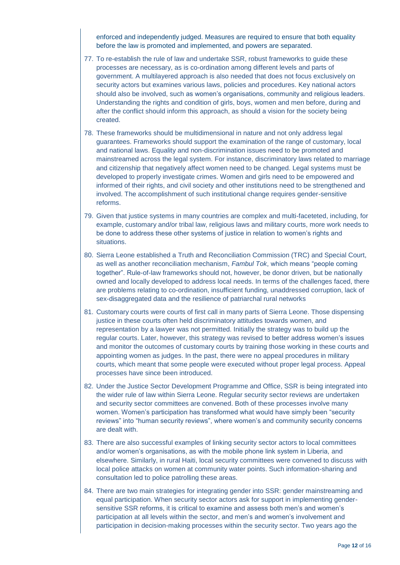enforced and independently judged. Measures are required to ensure that both equality before the law is promoted and implemented, and powers are separated.

- 77. To re-establish the rule of law and undertake SSR, robust frameworks to guide these processes are necessary, as is co-ordination among different levels and parts of government. A multilayered approach is also needed that does not focus exclusively on security actors but examines various laws, policies and procedures. Key national actors should also be involved, such as women's organisations, community and religious leaders. Understanding the rights and condition of girls, boys, women and men before, during and after the conflict should inform this approach, as should a vision for the society being created.
- 78. These frameworks should be multidimensional in nature and not only address legal guarantees. Frameworks should support the examination of the range of customary, local and national laws. Equality and non-discrimination issues need to be promoted and mainstreamed across the legal system. For instance, discriminatory laws related to marriage and citizenship that negatively affect women need to be changed. Legal systems must be developed to properly investigate crimes. Women and girls need to be empowered and informed of their rights, and civil society and other institutions need to be strengthened and involved. The accomplishment of such institutional change requires gender-sensitive reforms.
- 79. Given that justice systems in many countries are complex and multi-faceteted, including, for example, customary and/or tribal law, religious laws and military courts, more work needs to be done to address these other systems of justice in relation to women's rights and situations.
- 80. Sierra Leone established a Truth and Reconciliation Commission (TRC) and Special Court, as well as another reconciliation mechanism, *Fambul Tok*, which means "people coming together". Rule-of-law frameworks should not, however, be donor driven, but be nationally owned and locally developed to address local needs. In terms of the challenges faced, there are problems relating to co-ordination, insufficient funding, unaddressed corruption, lack of sex-disaggregated data and the resilience of patriarchal rural networks
- 81. Customary courts were courts of first call in many parts of Sierra Leone. Those dispensing justice in these courts often held discriminatory attitudes towards women, and representation by a lawyer was not permitted. Initially the strategy was to build up the regular courts. Later, however, this strategy was revised to better address women's issues and monitor the outcomes of customary courts by training those working in these courts and appointing women as judges. In the past, there were no appeal procedures in military courts, which meant that some people were executed without proper legal process. Appeal processes have since been introduced.
- 82. Under the Justice Sector Development Programme and Office, SSR is being integrated into the wider rule of law within Sierra Leone. Regular security sector reviews are undertaken and security sector committees are convened. Both of these processes involve many women. Women's participation has transformed what would have simply been "security reviews" into "human security reviews", where women's and community security concerns are dealt with.
- 83. There are also successful examples of linking security sector actors to local committees and/or women's organisations, as with the mobile phone link system in Liberia, and elsewhere. Similarly, in rural Haiti, local security committees were convened to discuss with local police attacks on women at community water points. Such information-sharing and consultation led to police patrolling these areas.
- 84. There are two main strategies for integrating gender into SSR: gender mainstreaming and equal participation. When security sector actors ask for support in implementing gendersensitive SSR reforms, it is critical to examine and assess both men's and women's participation at all levels within the sector, and men's and women's involvement and participation in decision-making processes within the security sector. Two years ago the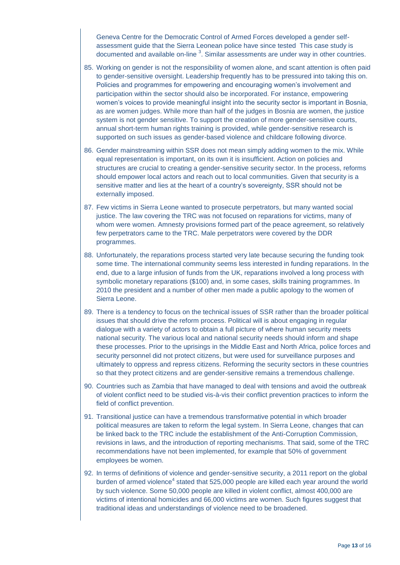Geneva Centre for the Democratic Control of Armed Forces developed a gender selfassessment guide that the Sierra Leonean police have since tested This case study is documented and available on-line  $3$ . Similar assessments are under way in other countries.

- 85. Working on gender is not the responsibility of women alone, and scant attention is often paid to gender-sensitive oversight. Leadership frequently has to be pressured into taking this on. Policies and programmes for empowering and encouraging women's involvement and participation within the sector should also be incorporated. For instance, empowering women's voices to provide meaningful insight into the security sector is important in Bosnia, as are women judges. While more than half of the judges in Bosnia are women, the justice system is not gender sensitive. To support the creation of more gender-sensitive courts, annual short-term human rights training is provided, while gender-sensitive research is supported on such issues as gender-based violence and childcare following divorce.
- 86. Gender mainstreaming within SSR does not mean simply adding women to the mix. While equal representation is important, on its own it is insufficient. Action on policies and structures are crucial to creating a gender-sensitive security sector. In the process, reforms should empower local actors and reach out to local communities. Given that security is a sensitive matter and lies at the heart of a country's sovereignty, SSR should not be externally imposed.
- 87. Few victims in Sierra Leone wanted to prosecute perpetrators, but many wanted social justice. The law covering the TRC was not focused on reparations for victims, many of whom were women. Amnesty provisions formed part of the peace agreement, so relatively few perpetrators came to the TRC. Male perpetrators were covered by the DDR programmes.
- 88. Unfortunately, the reparations process started very late because securing the funding took some time. The international community seems less interested in funding reparations. In the end, due to a large infusion of funds from the UK, reparations involved a long process with symbolic monetary reparations (\$100) and, in some cases, skills training programmes. In 2010 the president and a number of other men made a public apology to the women of Sierra Leone.
- 89. There is a tendency to focus on the technical issues of SSR rather than the broader political issues that should drive the reform process. Political will is about engaging in regular dialogue with a variety of actors to obtain a full picture of where human security meets national security. The various local and national security needs should inform and shape these processes. Prior to the uprisings in the Middle East and North Africa, police forces and security personnel did not protect citizens, but were used for surveillance purposes and ultimately to oppress and repress citizens. Reforming the security sectors in these countries so that they protect citizens and are gender-sensitive remains a tremendous challenge.
- 90. Countries such as Zambia that have managed to deal with tensions and avoid the outbreak of violent conflict need to be studied vis-à-vis their conflict prevention practices to inform the field of conflict prevention.
- 91. Transitional justice can have a tremendous transformative potential in which broader political measures are taken to reform the legal system. In Sierra Leone, changes that can be linked back to the TRC include the establishment of the Anti-Corruption Commission, revisions in laws, and the introduction of reporting mechanisms. That said, some of the TRC recommendations have not been implemented, for example that 50% of government employees be women.
- 92. In terms of definitions of violence and gender-sensitive security, a 2011 report on the global burden of armed violence<sup>4</sup> stated that 525,000 people are killed each year around the world by such violence. Some 50,000 people are killed in violent conflict, almost 400,000 are victims of intentional homicides and 66,000 victims are women. Such figures suggest that traditional ideas and understandings of violence need to be broadened.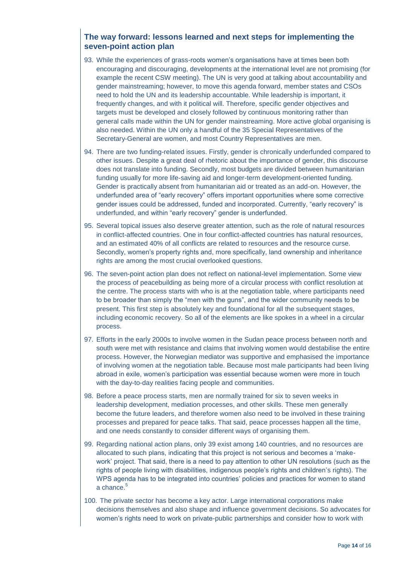### **The way forward: lessons learned and next steps for implementing the seven-point action plan**

- 93. While the experiences of grass-roots women's organisations have at times been both encouraging and discouraging, developments at the international level are not promising (for example the recent CSW meeting). The UN is very good at talking about accountability and gender mainstreaming; however, to move this agenda forward, member states and CSOs need to hold the UN and its leadership accountable. While leadership is important, it frequently changes, and with it political will. Therefore, specific gender objectives and targets must be developed and closely followed by continuous monitoring rather than general calls made within the UN for gender mainstreaming. More active global organising is also needed. Within the UN only a handful of the 35 Special Representatives of the Secretary-General are women, and most Country Representatives are men.
- 94. There are two funding-related issues. Firstly, gender is chronically underfunded compared to other issues. Despite a great deal of rhetoric about the importance of gender, this discourse does not translate into funding. Secondly, most budgets are divided between humanitarian funding usually for more life-saving aid and longer-term development-oriented funding. Gender is practically absent from humanitarian aid or treated as an add-on. However, the underfunded area of "early recovery" offers important opportunities where some corrective gender issues could be addressed, funded and incorporated. Currently, "early recovery" is underfunded, and within "early recovery" gender is underfunded.
- 95. Several topical issues also deserve greater attention, such as the role of natural resources in conflict-affected countries. One in four conflict-affected countries has natural resources, and an estimated 40% of all conflicts are related to resources and the resource curse. Secondly, women's property rights and, more specifically, land ownership and inheritance rights are among the most crucial overlooked questions.
- 96. The seven-point action plan does not reflect on national-level implementation. Some view the process of peacebuilding as being more of a circular process with conflict resolution at the centre. The process starts with who is at the negotiation table, where participants need to be broader than simply the "men with the guns", and the wider community needs to be present. This first step is absolutely key and foundational for all the subsequent stages, including economic recovery. So all of the elements are like spokes in a wheel in a circular process.
- 97. Efforts in the early 2000s to involve women in the Sudan peace process between north and south were met with resistance and claims that involving women would destabilise the entire process. However, the Norwegian mediator was supportive and emphasised the importance of involving women at the negotiation table. Because most male participants had been living abroad in exile, women's participation was essential because women were more in touch with the day-to-day realities facing people and communities.
- 98. Before a peace process starts, men are normally trained for six to seven weeks in leadership development, mediation processes, and other skills. These men generally become the future leaders, and therefore women also need to be involved in these training processes and prepared for peace talks. That said, peace processes happen all the time, and one needs constantly to consider different ways of organising them.
- 99. Regarding national action plans, only 39 exist among 140 countries, and no resources are allocated to such plans, indicating that this project is not serious and becomes a 'makework' project. That said, there is a need to pay attention to other UN resolutions (such as the rights of people living with disabilities, indigenous people's rights and children's rights). The WPS agenda has to be integrated into countries' policies and practices for women to stand a chance.<sup>5</sup>
- 100. The private sector has become a key actor. Large international corporations make decisions themselves and also shape and influence government decisions. So advocates for women's rights need to work on private-public partnerships and consider how to work with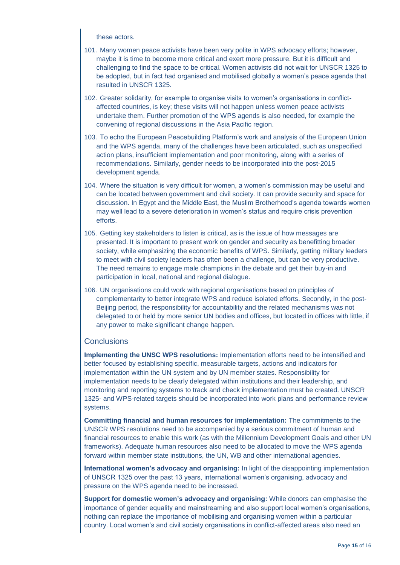these actors.

- 101. Many women peace activists have been very polite in WPS advocacy efforts; however, maybe it is time to become more critical and exert more pressure. But it is difficult and challenging to find the space to be critical. Women activists did not wait for UNSCR 1325 to be adopted, but in fact had organised and mobilised globally a women's peace agenda that resulted in UNSCR 1325.
- 102. Greater solidarity, for example to organise visits to women's organisations in conflictaffected countries, is key; these visits will not happen unless women peace activists undertake them. Further promotion of the WPS agends is also needed, for example the convening of regional discussions in the Asia Pacific region.
- 103. To echo the European Peacebuilding Platform's work and analysis of the European Union and the WPS agenda, many of the challenges have been articulated, such as unspecified action plans, insufficient implementation and poor monitoring, along with a series of recommendations. Similarly, gender needs to be incorporated into the post-2015 development agenda.
- 104. Where the situation is very difficult for women, a women's commission may be useful and can be located between government and civil society. It can provide security and space for discussion. In Egypt and the Middle East, the Muslim Brotherhood's agenda towards women may well lead to a severe deterioration in women's status and require crisis prevention efforts.
- 105. Getting key stakeholders to listen is critical, as is the issue of how messages are presented. It is important to present work on gender and security as benefitting broader society, while emphasizing the economic benefits of WPS. Similarly, getting military leaders to meet with civil society leaders has often been a challenge, but can be very productive. The need remains to engage male champions in the debate and get their buy-in and participation in local, national and regional dialogue.
- 106. UN organisations could work with regional organisations based on principles of complementarity to better integrate WPS and reduce isolated efforts. Secondly, in the post-Beijing period, the responsibility for accountability and the related mechanisms was not delegated to or held by more senior UN bodies and offices, but located in offices with little, if any power to make significant change happen.

#### **Conclusions**

**Implementing the UNSC WPS resolutions:** Implementation efforts need to be intensified and better focused by establishing specific, measurable targets, actions and indicators for implementation within the UN system and by UN member states. Responsibility for implementation needs to be clearly delegated within institutions and their leadership, and monitoring and reporting systems to track and check implementation must be created. UNSCR 1325- and WPS-related targets should be incorporated into work plans and performance review systems.

**Committing financial and human resources for implementation:** The commitments to the UNSCR WPS resolutions need to be accompanied by a serious commitment of human and financial resources to enable this work (as with the Millennium Development Goals and other UN frameworks). Adequate human resources also need to be allocated to move the WPS agenda forward within member state institutions, the UN, WB and other international agencies.

**International women's advocacy and organising:** In light of the disappointing implementation of UNSCR 1325 over the past 13 years, international women's organising, advocacy and pressure on the WPS agenda need to be increased.

**Support for domestic women's advocacy and organising:** While donors can emphasise the importance of gender equality and mainstreaming and also support local women's organisations, nothing can replace the importance of mobilising and organising women within a particular country. Local women's and civil society organisations in conflict-affected areas also need an